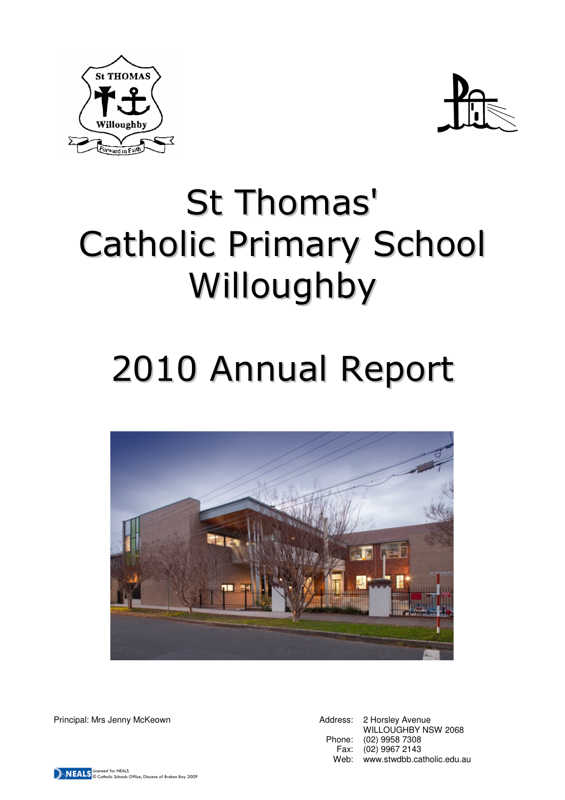



# St Thomas' Catholic Primary School Willoughby

# 2010 Annual Report



Principal: Mrs Jenny McKeown **Address: 2 Horsley Avenue** Address: 2 Horsley Avenue

WILLOUGHBY NSW 2068 Phone: (02) 9958 7308 Fax: (02) 9967 2143 Web: www.stwdbb.catholic.edu.au

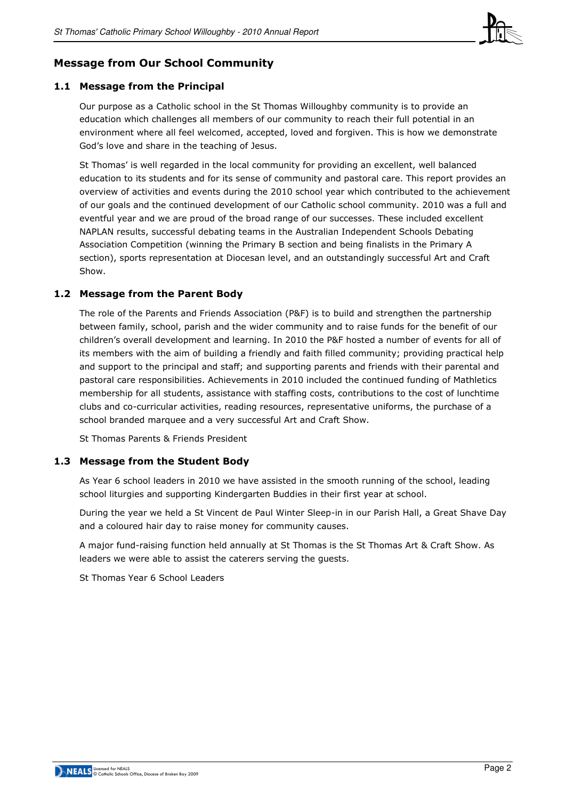

# Message from Our School Community

## 1.1 Message from the Principal

Our purpose as a Catholic school in the St Thomas Willoughby community is to provide an education which challenges all members of our community to reach their full potential in an environment where all feel welcomed, accepted, loved and forgiven. This is how we demonstrate God's love and share in the teaching of Jesus.

St Thomas' is well regarded in the local community for providing an excellent, well balanced education to its students and for its sense of community and pastoral care. This report provides an overview of activities and events during the 2010 school year which contributed to the achievement of our goals and the continued development of our Catholic school community. 2010 was a full and eventful year and we are proud of the broad range of our successes. These included excellent NAPLAN results, successful debating teams in the Australian Independent Schools Debating Association Competition (winning the Primary B section and being finalists in the Primary A section), sports representation at Diocesan level, and an outstandingly successful Art and Craft Show.

#### 1.2 Message from the Parent Body

The role of the Parents and Friends Association (P&F) is to build and strengthen the partnership between family, school, parish and the wider community and to raise funds for the benefit of our children's overall development and learning. In 2010 the P&F hosted a number of events for all of its members with the aim of building a friendly and faith filled community; providing practical help and support to the principal and staff; and supporting parents and friends with their parental and pastoral care responsibilities. Achievements in 2010 included the continued funding of Mathletics membership for all students, assistance with staffing costs, contributions to the cost of lunchtime clubs and co-curricular activities, reading resources, representative uniforms, the purchase of a school branded marquee and a very successful Art and Craft Show.

St Thomas Parents & Friends President

#### 1.3 Message from the Student Body

As Year 6 school leaders in 2010 we have assisted in the smooth running of the school, leading school liturgies and supporting Kindergarten Buddies in their first year at school.

During the year we held a St Vincent de Paul Winter Sleep-in in our Parish Hall, a Great Shave Day and a coloured hair day to raise money for community causes.

A major fund-raising function held annually at St Thomas is the St Thomas Art & Craft Show. As leaders we were able to assist the caterers serving the guests.

St Thomas Year 6 School Leaders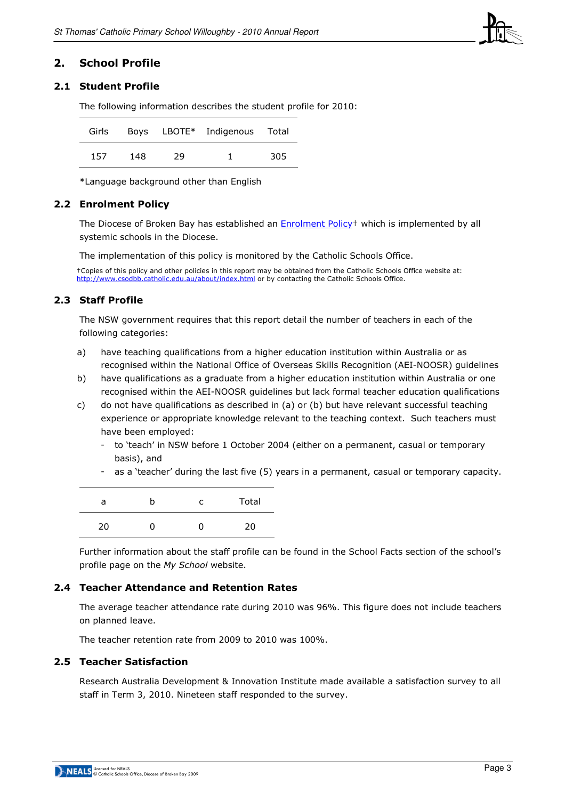

## 2. School Profile

## 2.1 Student Profile

The following information describes the student profile for 2010:

| Girls |     |    | Boys LBOTE* Indigenous Total |     |
|-------|-----|----|------------------------------|-----|
| 157   | 148 | 29 |                              | 305 |

\*Language background other than English

## 2.2 Enrolment Policy

The Diocese of Broken Bay has established an Enrolment Policy† which is implemented by all systemic schools in the Diocese.

The implementation of this policy is monitored by the Catholic Schools Office.

†Copies of this policy and other policies in this report may be obtained from the Catholic Schools Office website at: http://www.csodbb.catholic.edu.au/about/index.html or by contacting the Catholic Schools Office.

## 2.3 Staff Profile

The NSW government requires that this report detail the number of teachers in each of the following categories:

- a) have teaching qualifications from a higher education institution within Australia or as recognised within the National Office of Overseas Skills Recognition (AEI-NOOSR) guidelines
- b) have qualifications as a graduate from a higher education institution within Australia or one recognised within the AEI-NOOSR guidelines but lack formal teacher education qualifications
- c) do not have qualifications as described in (a) or (b) but have relevant successful teaching experience or appropriate knowledge relevant to the teaching context. Such teachers must have been employed:
	- to 'teach' in NSW before 1 October 2004 (either on a permanent, casual or temporary basis), and
	- as a 'teacher' during the last five (5) years in a permanent, casual or temporary capacity.

| a  | c | Total |
|----|---|-------|
| 20 | 0 | 20    |

Further information about the staff profile can be found in the School Facts section of the school's profile page on the My School website.

## 2.4 Teacher Attendance and Retention Rates

The average teacher attendance rate during 2010 was 96%. This figure does not include teachers on planned leave.

The teacher retention rate from 2009 to 2010 was 100%.

#### 2.5 Teacher Satisfaction

Research Australia Development & Innovation Institute made available a satisfaction survey to all staff in Term 3, 2010. Nineteen staff responded to the survey.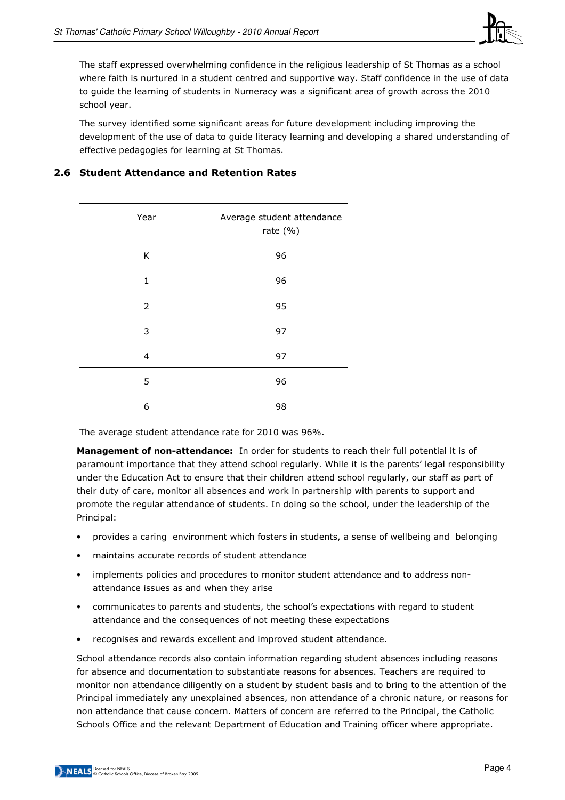

The staff expressed overwhelming confidence in the religious leadership of St Thomas as a school where faith is nurtured in a student centred and supportive way. Staff confidence in the use of data to guide the learning of students in Numeracy was a significant area of growth across the 2010 school year.

The survey identified some significant areas for future development including improving the development of the use of data to guide literacy learning and developing a shared understanding of effective pedagogies for learning at St Thomas.

| Year           | Average student attendance<br>rate $(% )$ |  |  |  |
|----------------|-------------------------------------------|--|--|--|
| K              | 96                                        |  |  |  |
| $\mathbf{1}$   | 96                                        |  |  |  |
| $\overline{2}$ | 95                                        |  |  |  |
| 3              | 97                                        |  |  |  |
| 4              | 97                                        |  |  |  |
| 5              | 96                                        |  |  |  |
| 6              | 98                                        |  |  |  |

# 2.6 Student Attendance and Retention Rates

The average student attendance rate for 2010 was 96%.

Management of non-attendance: In order for students to reach their full potential it is of paramount importance that they attend school regularly. While it is the parents' legal responsibility under the Education Act to ensure that their children attend school regularly, our staff as part of their duty of care, monitor all absences and work in partnership with parents to support and promote the regular attendance of students. In doing so the school, under the leadership of the Principal:

- provides a caring environment which fosters in students, a sense of wellbeing and belonging
- maintains accurate records of student attendance
- implements policies and procedures to monitor student attendance and to address nonattendance issues as and when they arise
- communicates to parents and students, the school's expectations with regard to student attendance and the consequences of not meeting these expectations
- recognises and rewards excellent and improved student attendance.

School attendance records also contain information regarding student absences including reasons for absence and documentation to substantiate reasons for absences. Teachers are required to monitor non attendance diligently on a student by student basis and to bring to the attention of the Principal immediately any unexplained absences, non attendance of a chronic nature, or reasons for non attendance that cause concern. Matters of concern are referred to the Principal, the Catholic Schools Office and the relevant Department of Education and Training officer where appropriate.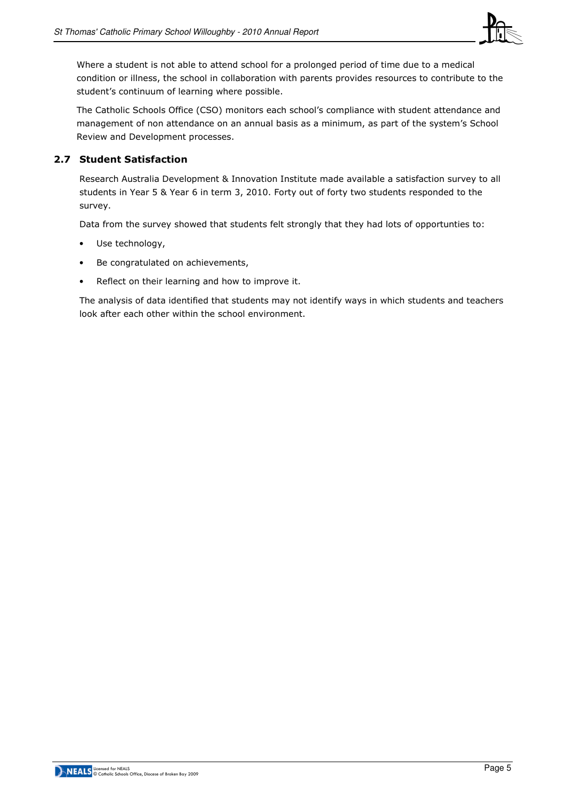

Where a student is not able to attend school for a prolonged period of time due to a medical condition or illness, the school in collaboration with parents provides resources to contribute to the student's continuum of learning where possible.

The Catholic Schools Office (CSO) monitors each school's compliance with student attendance and management of non attendance on an annual basis as a minimum, as part of the system's School Review and Development processes.

## 2.7 Student Satisfaction

Research Australia Development & Innovation Institute made available a satisfaction survey to all students in Year 5 & Year 6 in term 3, 2010. Forty out of forty two students responded to the survey.

Data from the survey showed that students felt strongly that they had lots of opportunties to:

- Use technology,
- Be congratulated on achievements,
- Reflect on their learning and how to improve it.

The analysis of data identified that students may not identify ways in which students and teachers look after each other within the school environment.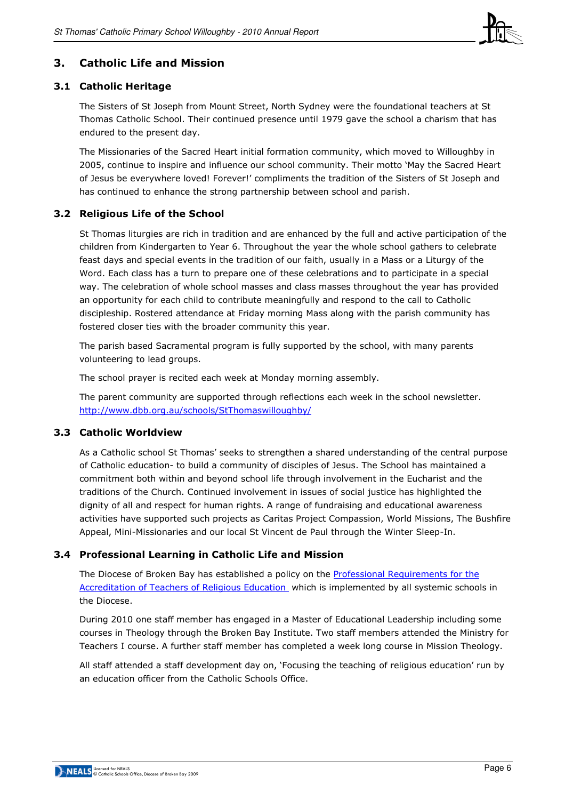

# 3. Catholic Life and Mission

## 3.1 Catholic Heritage

The Sisters of St Joseph from Mount Street, North Sydney were the foundational teachers at St Thomas Catholic School. Their continued presence until 1979 gave the school a charism that has endured to the present day.

The Missionaries of the Sacred Heart initial formation community, which moved to Willoughby in 2005, continue to inspire and influence our school community. Their motto 'May the Sacred Heart of Jesus be everywhere loved! Forever!' compliments the tradition of the Sisters of St Joseph and has continued to enhance the strong partnership between school and parish.

## 3.2 Religious Life of the School

St Thomas liturgies are rich in tradition and are enhanced by the full and active participation of the children from Kindergarten to Year 6. Throughout the year the whole school gathers to celebrate feast days and special events in the tradition of our faith, usually in a Mass or a Liturgy of the Word. Each class has a turn to prepare one of these celebrations and to participate in a special way. The celebration of whole school masses and class masses throughout the year has provided an opportunity for each child to contribute meaningfully and respond to the call to Catholic discipleship. Rostered attendance at Friday morning Mass along with the parish community has fostered closer ties with the broader community this year.

The parish based Sacramental program is fully supported by the school, with many parents volunteering to lead groups.

The school prayer is recited each week at Monday morning assembly.

The parent community are supported through reflections each week in the school newsletter. http://www.dbb.org.au/schools/StThomaswilloughby/

## 3.3 Catholic Worldview

As a Catholic school St Thomas' seeks to strengthen a shared understanding of the central purpose of Catholic education- to build a community of disciples of Jesus. The School has maintained a commitment both within and beyond school life through involvement in the Eucharist and the traditions of the Church. Continued involvement in issues of social justice has highlighted the dignity of all and respect for human rights. A range of fundraising and educational awareness activities have supported such projects as Caritas Project Compassion, World Missions, The Bushfire Appeal, Mini-Missionaries and our local St Vincent de Paul through the Winter Sleep-In.

## 3.4 Professional Learning in Catholic Life and Mission

The Diocese of Broken Bay has established a policy on the Professional Requirements for the Accreditation of Teachers of Religious Education which is implemented by all systemic schools in the Diocese.

During 2010 one staff member has engaged in a Master of Educational Leadership including some courses in Theology through the Broken Bay Institute. Two staff members attended the Ministry for Teachers I course. A further staff member has completed a week long course in Mission Theology.

All staff attended a staff development day on, 'Focusing the teaching of religious education' run by an education officer from the Catholic Schools Office.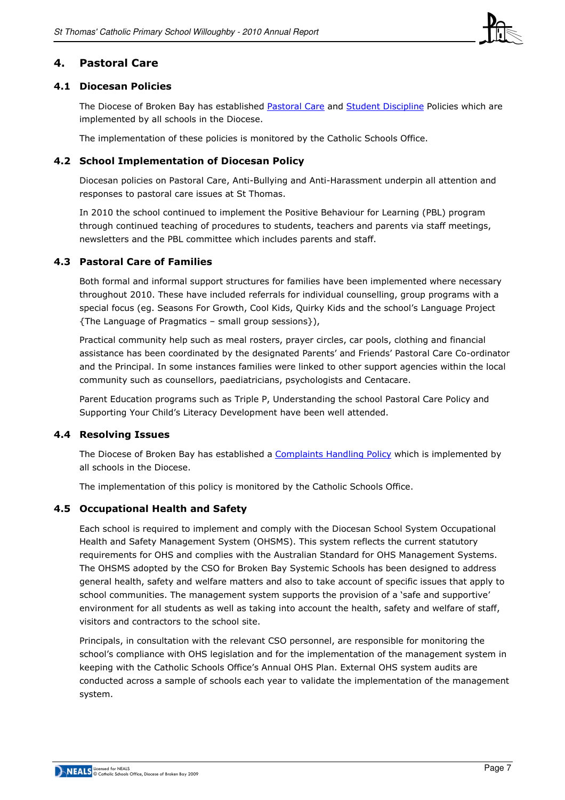

## 4. Pastoral Care

## 4.1 Diocesan Policies

The Diocese of Broken Bay has established Pastoral Care and Student Discipline Policies which are implemented by all schools in the Diocese.

The implementation of these policies is monitored by the Catholic Schools Office.

## 4.2 School Implementation of Diocesan Policy

Diocesan policies on Pastoral Care, Anti-Bullying and Anti-Harassment underpin all attention and responses to pastoral care issues at St Thomas.

In 2010 the school continued to implement the Positive Behaviour for Learning (PBL) program through continued teaching of procedures to students, teachers and parents via staff meetings, newsletters and the PBL committee which includes parents and staff.

## 4.3 Pastoral Care of Families

Both formal and informal support structures for families have been implemented where necessary throughout 2010. These have included referrals for individual counselling, group programs with a special focus (eg. Seasons For Growth, Cool Kids, Quirky Kids and the school's Language Project {The Language of Pragmatics – small group sessions}),

Practical community help such as meal rosters, prayer circles, car pools, clothing and financial assistance has been coordinated by the designated Parents' and Friends' Pastoral Care Co-ordinator and the Principal. In some instances families were linked to other support agencies within the local community such as counsellors, paediatricians, psychologists and Centacare.

Parent Education programs such as Triple P, Understanding the school Pastoral Care Policy and Supporting Your Child's Literacy Development have been well attended.

#### 4.4 Resolving Issues

The Diocese of Broken Bay has established a Complaints Handling Policy which is implemented by all schools in the Diocese.

The implementation of this policy is monitored by the Catholic Schools Office.

## 4.5 Occupational Health and Safety

Each school is required to implement and comply with the Diocesan School System Occupational Health and Safety Management System (OHSMS). This system reflects the current statutory requirements for OHS and complies with the Australian Standard for OHS Management Systems. The OHSMS adopted by the CSO for Broken Bay Systemic Schools has been designed to address general health, safety and welfare matters and also to take account of specific issues that apply to school communities. The management system supports the provision of a 'safe and supportive' environment for all students as well as taking into account the health, safety and welfare of staff, visitors and contractors to the school site.

Principals, in consultation with the relevant CSO personnel, are responsible for monitoring the school's compliance with OHS legislation and for the implementation of the management system in keeping with the Catholic Schools Office's Annual OHS Plan. External OHS system audits are conducted across a sample of schools each year to validate the implementation of the management system.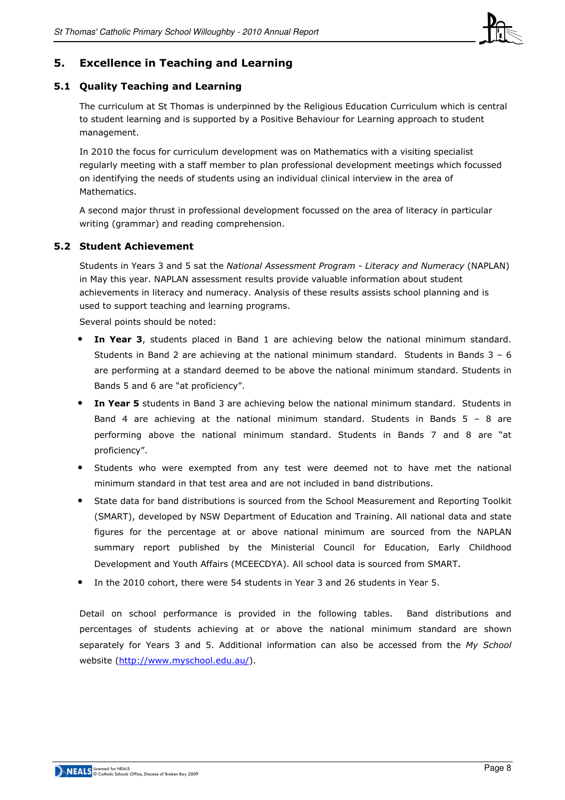

# 5. Excellence in Teaching and Learning

#### 5.1 Quality Teaching and Learning

The curriculum at St Thomas is underpinned by the Religious Education Curriculum which is central to student learning and is supported by a Positive Behaviour for Learning approach to student management.

In 2010 the focus for curriculum development was on Mathematics with a visiting specialist regularly meeting with a staff member to plan professional development meetings which focussed on identifying the needs of students using an individual clinical interview in the area of Mathematics.

A second major thrust in professional development focussed on the area of literacy in particular writing (grammar) and reading comprehension.

#### 5.2 Student Achievement

Students in Years 3 and 5 sat the National Assessment Program - Literacy and Numeracy (NAPLAN) in May this year. NAPLAN assessment results provide valuable information about student achievements in literacy and numeracy. Analysis of these results assists school planning and is used to support teaching and learning programs.

Several points should be noted:

- In Year 3, students placed in Band 1 are achieving below the national minimum standard. Students in Band 2 are achieving at the national minimum standard. Students in Bands  $3 - 6$ are performing at a standard deemed to be above the national minimum standard. Students in Bands 5 and 6 are "at proficiency".
- In Year 5 students in Band 3 are achieving below the national minimum standard. Students in Band 4 are achieving at the national minimum standard. Students in Bands  $5 - 8$  are performing above the national minimum standard. Students in Bands 7 and 8 are "at proficiency".
- Students who were exempted from any test were deemed not to have met the national minimum standard in that test area and are not included in band distributions.
- State data for band distributions is sourced from the School Measurement and Reporting Toolkit (SMART), developed by NSW Department of Education and Training. All national data and state figures for the percentage at or above national minimum are sourced from the NAPLAN summary report published by the Ministerial Council for Education, Early Childhood Development and Youth Affairs (MCEECDYA). All school data is sourced from SMART.
- In the 2010 cohort, there were 54 students in Year 3 and 26 students in Year 5.

Detail on school performance is provided in the following tables. Band distributions and percentages of students achieving at or above the national minimum standard are shown separately for Years 3 and 5. Additional information can also be accessed from the My School website (http://www.myschool.edu.au/).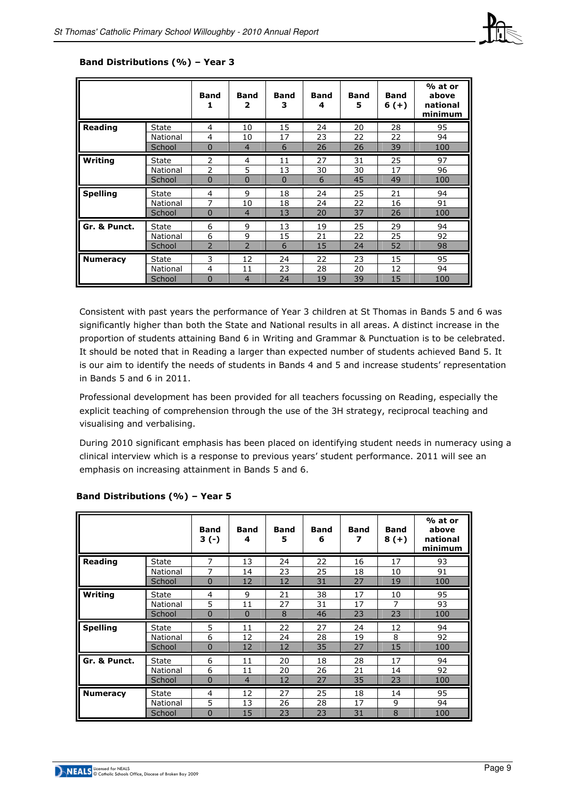

|                 |              | <b>Band</b><br>1 | Band<br>2      | Band<br>з | <b>Band</b><br>4 | <b>Band</b><br>5 | <b>Band</b><br>$6(+)$ | % at or<br>above<br>national<br>minimum |
|-----------------|--------------|------------------|----------------|-----------|------------------|------------------|-----------------------|-----------------------------------------|
| <b>Reading</b>  | State        | 4                | 10             | 15        | 24               | 20               | 28                    | 95                                      |
|                 | National     | $\overline{4}$   | 10             | 17        | 23               | 22               | 22                    | 94                                      |
|                 | School       | $\Omega$         | $\overline{4}$ | 6         | 26               | 26               | 39                    | 100                                     |
| Writing         | State        | $\overline{2}$   | 4              | 11        | 27               | 31               | 25                    | 97                                      |
|                 | National     | $\overline{2}$   | 5              | 13        | 30               | 30               | 17                    | 96                                      |
|                 | School       | $\mathbf{0}$     | 0              | $\Omega$  | 6                | 45               | 49                    | 100                                     |
| <b>Spelling</b> | State        | 4                | 9              | 18        | 24               | 25               | 21                    | 94                                      |
|                 | National     | $\overline{7}$   | 10             | 18        | 24               | 22               | 16                    | 91                                      |
|                 | School       | $\mathbf{0}$     | $\overline{4}$ | 13        | 20               | 37               | 26                    | 100                                     |
| Gr. & Punct.    | <b>State</b> | 6                | 9              | 13        | 19               | 25               | 29                    | 94                                      |
|                 | National     | 6                | 9              | 15        | 21               | 22               | 25                    | 92                                      |
|                 | School       | $\overline{2}$   | $\overline{2}$ | 6         | 15               | 24               | 52                    | 98                                      |
| <b>Numeracy</b> | <b>State</b> | 3                | 12             | 24        | 22               | 23               | 15                    | 95                                      |
|                 | National     | 4                | 11             | 23        | 28               | 20               | 12                    | 94                                      |
|                 | School       | 0                | $\overline{4}$ | 24        | 19               | 39               | 15                    | 100                                     |

#### Band Distributions (%) – Year 3

Consistent with past years the performance of Year 3 children at St Thomas in Bands 5 and 6 was significantly higher than both the State and National results in all areas. A distinct increase in the proportion of students attaining Band 6 in Writing and Grammar & Punctuation is to be celebrated. It should be noted that in Reading a larger than expected number of students achieved Band 5. It is our aim to identify the needs of students in Bands 4 and 5 and increase students' representation in Bands 5 and 6 in 2011.

Professional development has been provided for all teachers focussing on Reading, especially the explicit teaching of comprehension through the use of the 3H strategy, reciprocal teaching and visualising and verbalising.

During 2010 significant emphasis has been placed on identifying student needs in numeracy using a clinical interview which is a response to previous years' student performance. 2011 will see an emphasis on increasing attainment in Bands 5 and 6.

|                 |              | Band<br>$3(-)$ | <b>Band</b><br>4 | Band<br>5 | <b>Band</b><br>6 | <b>Band</b><br>7 | <b>Band</b><br>$8(+)$ | % at or<br>above<br>national<br>minimum |
|-----------------|--------------|----------------|------------------|-----------|------------------|------------------|-----------------------|-----------------------------------------|
| <b>Reading</b>  | State        | 7              | 13               | 24        | 22               | 16               | 17                    | 93                                      |
|                 | National     | 7              | 14               | 23        | 25               | 18               | 10                    | 91                                      |
|                 | School       | 0              | 12               | 12        | 31               | 27               | 19                    | 100                                     |
| Writing         | State        | 4              | 9                | 21        | 38               | 17               | 10                    | 95                                      |
|                 | National     | 5              | 11               | 27        | 31               | 17               | $\overline{7}$        | 93                                      |
|                 | School       | $\Omega$       | $\mathbf 0$      | 8         | 46               | 23               | 23                    | 100                                     |
| <b>Spelling</b> | State        | 5              | 11               | 22        | 27               | 24               | 12                    | 94                                      |
|                 | National     | 6              | 12               | 24        | 28               | 19               | 8                     | 92                                      |
|                 | School       | 0              | 12               | 12        | 35               | 27               | 15                    | 100                                     |
| Gr. & Punct.    | <b>State</b> | 6              | 11               | 20        | 18               | 28               | 17                    | 94                                      |
|                 | National     | 6              | 11               | 20        | 26               | 21               | 14                    | 92                                      |
|                 | School       | $\mathbf 0$    | $\overline{4}$   | 12        | 27               | 35               | 23                    | 100                                     |
| <b>Numeracy</b> | State        | 4              | 12               | 27        | 25               | 18               | 14                    | 95                                      |
|                 | National     | 5              | 13               | 26        | 28               | 17               | 9                     | 94                                      |
|                 | School       | $\overline{0}$ | 15               | 23        | 23               | 31               | 8                     | 100                                     |

#### Band Distributions (%) – Year 5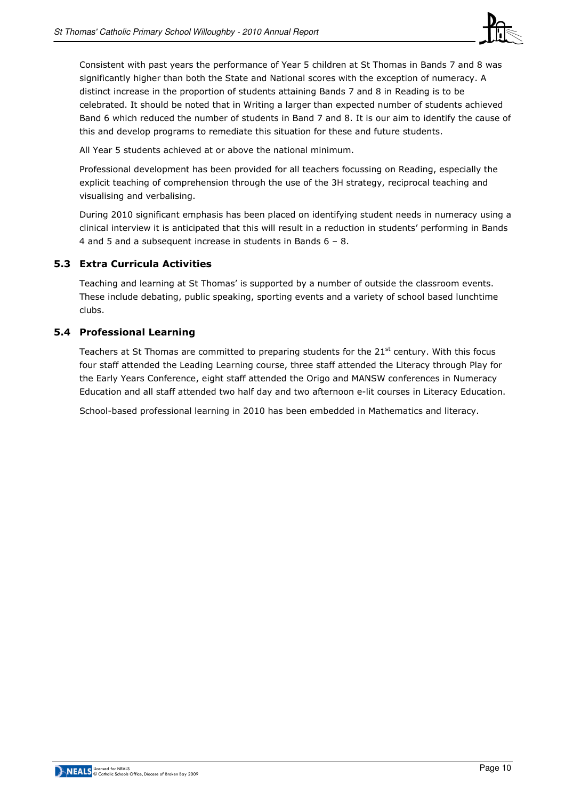

Consistent with past years the performance of Year 5 children at St Thomas in Bands 7 and 8 was significantly higher than both the State and National scores with the exception of numeracy. A distinct increase in the proportion of students attaining Bands 7 and 8 in Reading is to be celebrated. It should be noted that in Writing a larger than expected number of students achieved Band 6 which reduced the number of students in Band 7 and 8. It is our aim to identify the cause of this and develop programs to remediate this situation for these and future students.

All Year 5 students achieved at or above the national minimum.

Professional development has been provided for all teachers focussing on Reading, especially the explicit teaching of comprehension through the use of the 3H strategy, reciprocal teaching and visualising and verbalising.

During 2010 significant emphasis has been placed on identifying student needs in numeracy using a clinical interview it is anticipated that this will result in a reduction in students' performing in Bands 4 and 5 and a subsequent increase in students in Bands 6 – 8.

## 5.3 Extra Curricula Activities

Teaching and learning at St Thomas' is supported by a number of outside the classroom events. These include debating, public speaking, sporting events and a variety of school based lunchtime clubs.

## 5.4 Professional Learning

Teachers at St Thomas are committed to preparing students for the  $21<sup>st</sup>$  century. With this focus four staff attended the Leading Learning course, three staff attended the Literacy through Play for the Early Years Conference, eight staff attended the Origo and MANSW conferences in Numeracy Education and all staff attended two half day and two afternoon e-lit courses in Literacy Education.

School-based professional learning in 2010 has been embedded in Mathematics and literacy.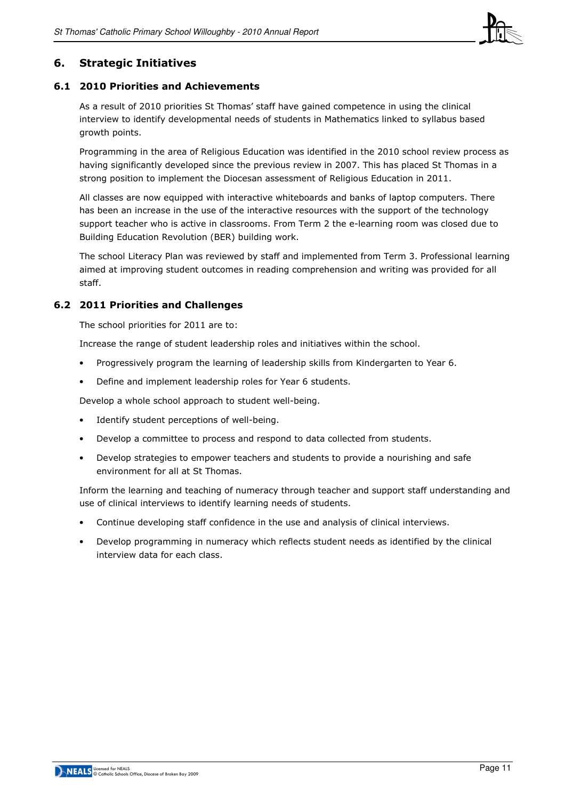

## 6. Strategic Initiatives

#### 6.1 2010 Priorities and Achievements

As a result of 2010 priorities St Thomas' staff have gained competence in using the clinical interview to identify developmental needs of students in Mathematics linked to syllabus based growth points.

Programming in the area of Religious Education was identified in the 2010 school review process as having significantly developed since the previous review in 2007. This has placed St Thomas in a strong position to implement the Diocesan assessment of Religious Education in 2011.

All classes are now equipped with interactive whiteboards and banks of laptop computers. There has been an increase in the use of the interactive resources with the support of the technology support teacher who is active in classrooms. From Term 2 the e-learning room was closed due to Building Education Revolution (BER) building work.

The school Literacy Plan was reviewed by staff and implemented from Term 3. Professional learning aimed at improving student outcomes in reading comprehension and writing was provided for all staff.

#### 6.2 2011 Priorities and Challenges

The school priorities for 2011 are to:

Increase the range of student leadership roles and initiatives within the school.

- Progressively program the learning of leadership skills from Kindergarten to Year 6.
- Define and implement leadership roles for Year 6 students.

Develop a whole school approach to student well-being.

- Identify student perceptions of well-being.
- Develop a committee to process and respond to data collected from students.
- Develop strategies to empower teachers and students to provide a nourishing and safe environment for all at St Thomas.

Inform the learning and teaching of numeracy through teacher and support staff understanding and use of clinical interviews to identify learning needs of students.

- Continue developing staff confidence in the use and analysis of clinical interviews.
- Develop programming in numeracy which reflects student needs as identified by the clinical interview data for each class.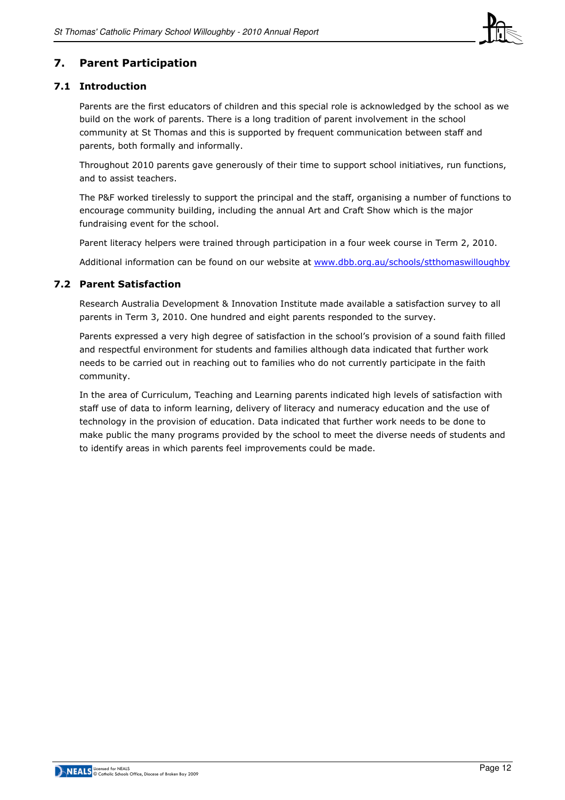

# 7. Parent Participation

## 7.1 Introduction

Parents are the first educators of children and this special role is acknowledged by the school as we build on the work of parents. There is a long tradition of parent involvement in the school community at St Thomas and this is supported by frequent communication between staff and parents, both formally and informally.

Throughout 2010 parents gave generously of their time to support school initiatives, run functions, and to assist teachers.

The P&F worked tirelessly to support the principal and the staff, organising a number of functions to encourage community building, including the annual Art and Craft Show which is the major fundraising event for the school.

Parent literacy helpers were trained through participation in a four week course in Term 2, 2010.

Additional information can be found on our website at www.dbb.org.au/schools/stthomaswilloughby

## 7.2 Parent Satisfaction

Research Australia Development & Innovation Institute made available a satisfaction survey to all parents in Term 3, 2010. One hundred and eight parents responded to the survey.

Parents expressed a very high degree of satisfaction in the school's provision of a sound faith filled and respectful environment for students and families although data indicated that further work needs to be carried out in reaching out to families who do not currently participate in the faith community.

In the area of Curriculum, Teaching and Learning parents indicated high levels of satisfaction with staff use of data to inform learning, delivery of literacy and numeracy education and the use of technology in the provision of education. Data indicated that further work needs to be done to make public the many programs provided by the school to meet the diverse needs of students and to identify areas in which parents feel improvements could be made.